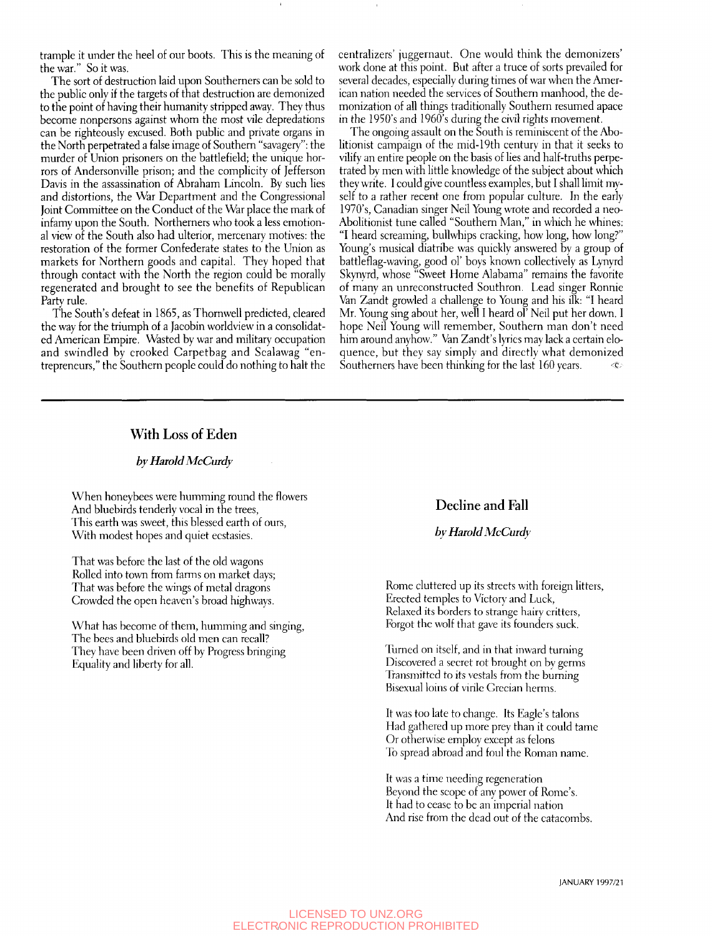trample it under the heel of our boots. This is the meaning of the war." So it was.

The sort of destruction laid upon Southerners can be sold to the public only if the targets of that destruction are demonized to the point of having their humanity stripped away. They thus become nonpersons against whom the most vile depredations can be righteously excused. Both public and private organs in the North perpetrated a false image of Southern "savagery": the murder of Union prisoners on the battlefield; the unique horrors of Andersonville prison; and the complicity of Jefferson Davis in the assassination of Abraham Lincoln. By such lies and distortions, the War Department and the Congressional Joint Committee on the Conduct of the War place the mark of infamy upon the South. Northerners who took a less emotional view of the South also had ulterior, mercenary motives: the restoration of the former Confederate states to the Union as markets for Northern goods and capital. They hoped that through contact with the North the region could be morally regenerated and brought to see the benefits of Republican Party rule.

The South's defeat in 1865, as Thornwell predicted, cleared the way for the triumph of a Jacobin worldview in a consolidated American Empire. Wasted by war and military occupation and swindled by crooked Carpetbag and Scalawag "entrepreneurs," the Southern people could do nothing to halt the

centralizers' juggernaut. One would think the demonizers' work done at this point. But after a truce of sorts prevailed for several decades, especially during times of war when the American nation needed the services of Southern manhood, the demonization of all things traditionally Southern resumed apace in the 1950's and 1960's during the civil rights movement.

The ongoing assault on the South is reminiscent of the Abolitionist campaign of the mid-19th century in that it seeks to vilify an entire people on the basis of lies and half-truths perpetrated by men with little knowledge of the subject about which they write. I could give countless examples, but I shall limit myself to a rather recent one from popular culture. In the early 1970's, Canadian singer Neil Young wrote and recorded a neo-Abolitionist tune called "Southern Man," in which he whines: "I heard screaming, bullwhips cracking, how long, how long?" Young's musical diatribe was quickly answered by a group of battleflag-waving, good ol' boys known collectively as Lynyrd Skynyrd, whose "Sweet Home Alabama" remains the favorite of many an unreconstructed Southron. Lead singer Ronnie Van Zandt growled a challenge to Young and his ilk: "I heard Mr. Young sing about her, well I heard ol' Neil put her down. 1 hope Neil Young will remember. Southern man don't need him around anyhow." Van Zandt's lyrics may lack a certain eloquence, but they say simply and directly what demonized Southerners have been thinking for the last 160 years.

# With Loss of Eden

### *by Harold McCurdy*

When honeybees were humming round the flowers And bluebirds tenderly vocal in the trees. This earth was sweet, this blessed earth of ours, With modest hopes and quiet ecstasies.

That was before the last of the old wagons Rolled into town from farms on market days; That was before the wings of metal dragons Crowded the open heaven's broad highways.

What has become of them, humming and singing, The bees and bluebirds old men can recall? They have been driven off by Progress bringing Equality and liberty for all.

## Decline and Fall

### *bv Harold McCurdy*

Rome cluttered up its streets with foreign litters. Erected temples to Victory and Luck, Relaxed its borders to strange hairy critters, Forgot the wolf that gave its founders suck.

Turned on itself, and in that inward turning Discovered a secret rot brought on bv germs Transmitted to its vestals from the burning Bisexual loins of virile Grecian herms.

It was too late to change. Its Eagle's talons Had gathered up more prey than it could tame Or otherwise employ except as felons To spread abroad and foul the Roman name.

It was a time needing regeneration Beyond the scope of any power of Rome's. It had to cease to be an imperial nation And rise from the dead out of the catacombs.

JANUARY 1997/21